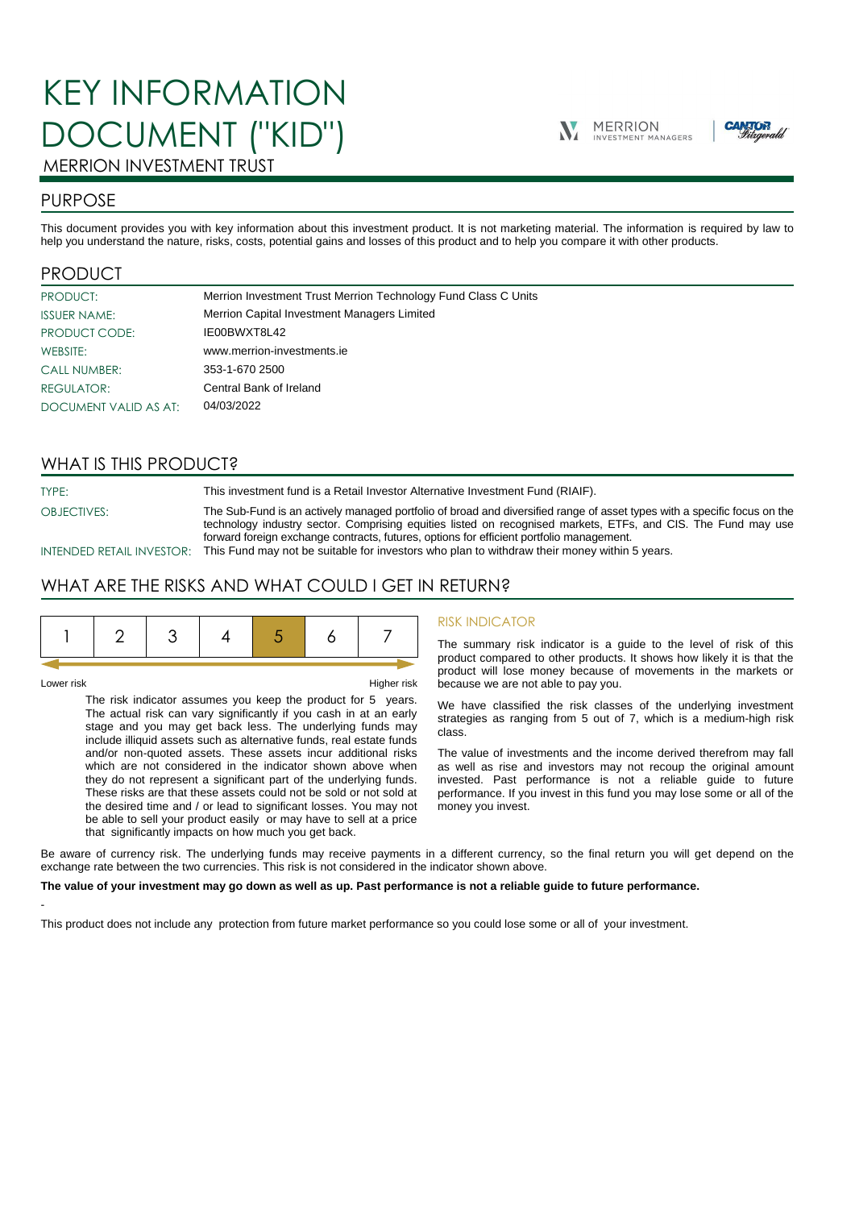# KEY INFORMATION DOCUMENT ("KID")





## MERRION INVESTMENT TRUST

## PURPOSE

This document provides you with key information about this investment product. It is not marketing material. The information is required by law to help you understand the nature, risks, costs, potential gains and losses of this product and to help you compare it with other products.

## PRODUCT

| PRODUCT:              | Merrion Investment Trust Merrion Technology Fund Class C Units |
|-----------------------|----------------------------------------------------------------|
| <b>ISSUER NAME:</b>   | Merrion Capital Investment Managers Limited                    |
| PRODUCT CODE:         | IE00BWXT8L42                                                   |
| WEBSITE:              | www.merrion-investments.ie                                     |
| <b>CALL NUMBER:</b>   | 353-1-670 2500                                                 |
| REGULATOR:            | Central Bank of Ireland                                        |
| DOCUMENT VALID AS AT: | 04/03/2022                                                     |

## WHAT IS THIS PRODUCT?

TYPE: This investment fund is a Retail Investor Alternative Investment Fund (RIAIF).

OBJECTIVES: The Sub-Fund is an actively managed portfolio of broad and diversified range of asset types with a specific focus on the technology industry sector. Comprising equities listed on recognised markets, ETFs, and CIS. The Fund may use forward foreign exchange contracts, futures, options for efficient portfolio management. INTENDED RETAIL INVESTOR: This Fund may not be suitable for investors who plan to withdraw their money within 5 years.

## WHAT ARE THE RISKS AND WHAT COULD I GET IN RETURN?

-

Lower risk Higher risk

The risk indicator assumes you keep the product for 5 years. The actual risk can vary significantly if you cash in at an early stage and you may get back less. The underlying funds may include illiquid assets such as alternative funds, real estate funds and/or non-quoted assets. These assets incur additional risks which are not considered in the indicator shown above when they do not represent a significant part of the underlying funds. These risks are that these assets could not be sold or not sold at the desired time and / or lead to significant losses. You may not be able to sell your product easily or may have to sell at a price that significantly impacts on how much you get back.

#### RISK INDICATOR

The summary risk indicator is a guide to the level of risk of this product compared to other products. It shows how likely it is that the product will lose money because of movements in the markets or because we are not able to pay you.

We have classified the risk classes of the underlying investment strategies as ranging from 5 out of 7, which is a medium-high risk class.

The value of investments and the income derived therefrom may fall as well as rise and investors may not recoup the original amount invested. Past performance is not a reliable guide to future performance. If you invest in this fund you may lose some or all of the money you invest.

Be aware of currency risk. The underlying funds may receive payments in a different currency, so the final return you will get depend on the exchange rate between the two currencies. This risk is not considered in the indicator shown above.

#### **The value of your investment may go down as well as up. Past performance is not a reliable guide to future performance.**

This product does not include any protection from future market performance so you could lose some or all of your investment.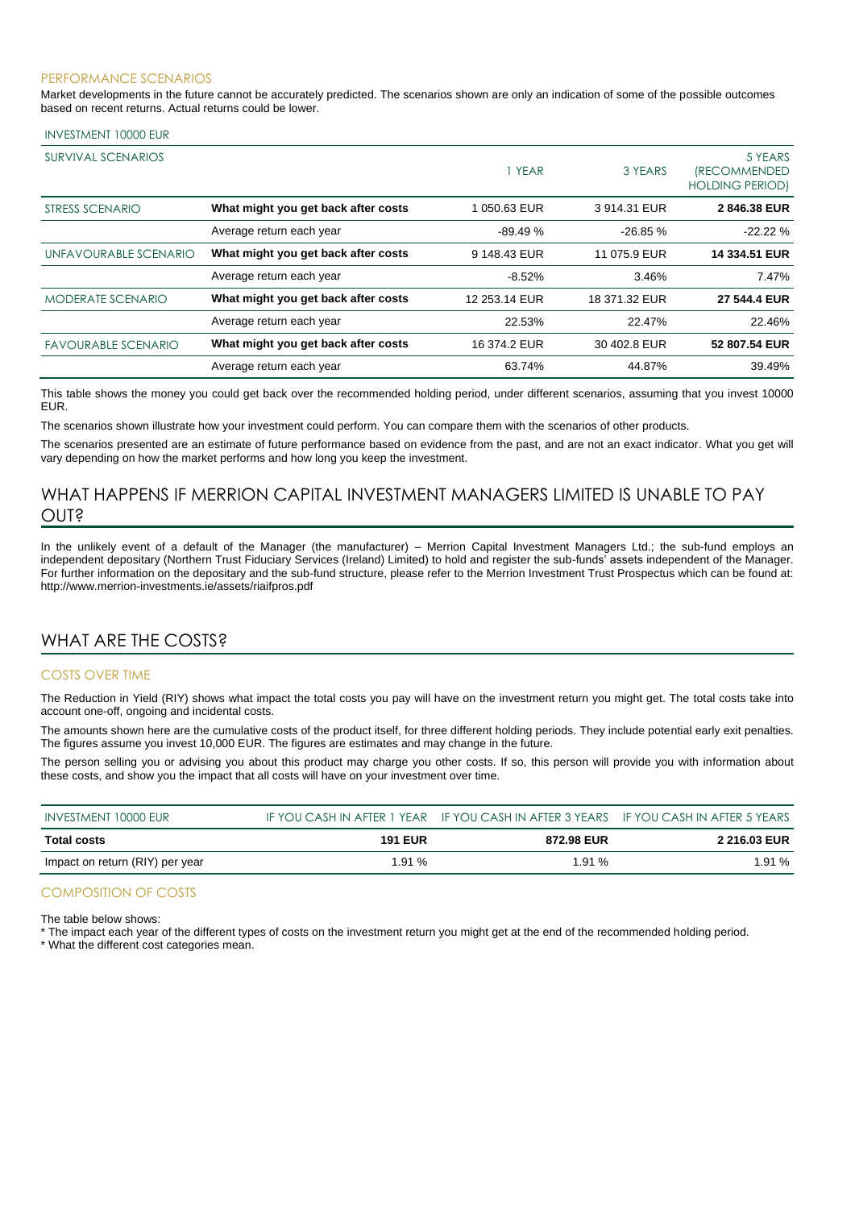#### PERFORMANCE SCENARIOS

Market developments in the future cannot be accurately predicted. The scenarios shown are only an indication of some of the possible outcomes based on recent returns. Actual returns could be lower.

#### INVESTMENT 10000 EUR

| <b>SURVIVAL SCENARIOS</b>  |                                     | 1 YEAR        | 3 YEARS       | 5 YEARS<br><i><b>IRECOMMENDED</b></i><br><b>HOLDING PERIOD)</b> |
|----------------------------|-------------------------------------|---------------|---------------|-----------------------------------------------------------------|
| STRESS SCENARIO            | What might you get back after costs | 1050.63 EUR   | 3914.31 EUR   | 2846.38 EUR                                                     |
|                            | Average return each year            | $-89.49%$     | $-26.85%$     | $-22.22%$                                                       |
| UNFAVOURABLE SCENARIO      | What might you get back after costs | 9 148.43 EUR  | 11 075.9 EUR  | 14 334.51 EUR                                                   |
|                            | Average return each year            | $-8.52%$      | 3.46%         | 7.47%                                                           |
| <b>MODERATE SCENARIO</b>   | What might you get back after costs | 12 253.14 EUR | 18 371.32 EUR | 27 544.4 EUR                                                    |
|                            | Average return each year            | 22.53%        | 22.47%        | 22.46%                                                          |
| <b>FAVOURABLE SCENARIO</b> | What might you get back after costs | 16 374.2 EUR  | 30 402.8 EUR  | 52 807.54 EUR                                                   |
|                            | Average return each year            | 63.74%        | 44.87%        | 39.49%                                                          |

This table shows the money you could get back over the recommended holding period, under different scenarios, assuming that you invest 10000 EUR.

The scenarios shown illustrate how your investment could perform. You can compare them with the scenarios of other products.

The scenarios presented are an estimate of future performance based on evidence from the past, and are not an exact indicator. What you get will vary depending on how the market performs and how long you keep the investment.

## WHAT HAPPENS IF MERRION CAPITAL INVESTMENT MANAGERS LIMITED IS UNABLE TO PAY OUT?

In the unlikely event of a default of the Manager (the manufacturer) – Merrion Capital Investment Managers Ltd.; the sub-fund employs an independent depositary (Northern Trust Fiduciary Services (Ireland) Limited) to hold and register the sub-funds' assets independent of the Manager. For further information on the depositary and the sub-fund structure, please refer to the Merrion Investment Trust Prospectus which can be found at: http://www.merrion-investments.ie/assets/riaifpros.pdf

### WHAT ARE THE COSTS?

#### COSTS OVER TIME

The Reduction in Yield (RIY) shows what impact the total costs you pay will have on the investment return you might get. The total costs take into account one-off, ongoing and incidental costs.

The amounts shown here are the cumulative costs of the product itself, for three different holding periods. They include potential early exit penalties. The figures assume you invest 10,000 EUR. The figures are estimates and may change in the future.

The person selling you or advising you about this product may charge you other costs. If so, this person will provide you with information about these costs, and show you the impact that all costs will have on your investment over time.

| INVESTMENT 10000 EUR            |                | IF YOU CASH IN AFTER 1 YEAR IF YOU CASH IN AFTER 3 YEARS IF YOU CASH IN AFTER 5 YEARS |                     |
|---------------------------------|----------------|---------------------------------------------------------------------------------------|---------------------|
| Total costs                     | <b>191 EUR</b> | 872.98 EUR                                                                            | <b>2 216.03 EUR</b> |
| Impact on return (RIY) per year | 1.91%          | 1.91%                                                                                 | 1.91%               |

#### COMPOSITION OF COSTS

The table below shows:

\* The impact each year of the different types of costs on the investment return you might get at the end of the recommended holding period.

\* What the different cost categories mean.